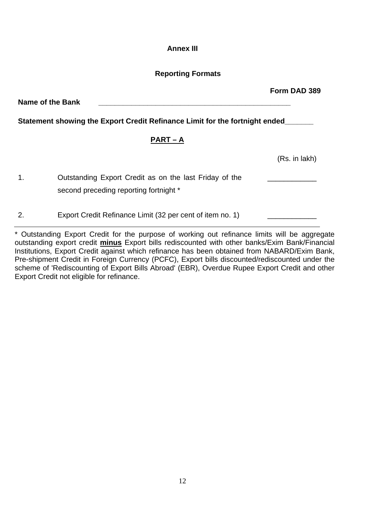## **Annex III**

# **Reporting Formats**

Name of the Bank **Statement showing the Export Credit Refinance Limit for the fortnight ended\_\_\_\_\_\_\_ PART – A** (Rs. in lakh)

1. Outstanding Export Credit as on the last Friday of the second preceding reporting fortnight \* \_\_\_\_\_\_\_\_\_\_\_\_

2. Export Credit Refinance Limit (32 per cent of item no. 1)

\* Outstanding Export Credit for the purpose of working out refinance limits will be aggregate outstanding export credit **minus** Export bills rediscounted with other banks/Exim Bank/Financial Institutions, Export Credit against which refinance has been obtained from NABARD/Exim Bank, Pre-shipment Credit in Foreign Currency (PCFC), Export bills discounted/rediscounted under the scheme of 'Rediscounting of Export Bills Abroad' (EBR), Overdue Rupee Export Credit and other Export Credit not eligible for refinance.

**Form DAD 389**